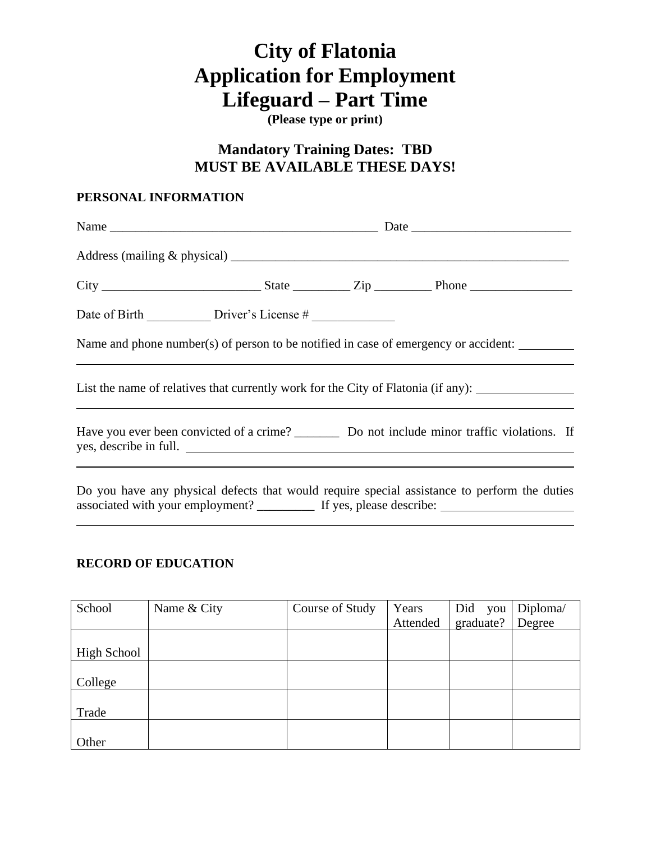# **City of Flatonia Application for Employment Lifeguard – Part Time**

**(Please type or print)**

## **Mandatory Training Dates: TBD MUST BE AVAILABLE THESE DAYS!**

#### **PERSONAL INFORMATION**

|  | Name and phone number(s) of person to be notified in case of emergency or accident:<br>,我们也不会有什么?""我们的人,我们也不会有什么?""我们的人,我们也不会有什么?""我们的人,我们也不会有什么?""我们的人,我们也不会有什么?""我们的人                                                        |  |  |
|--|--------------------------------------------------------------------------------------------------------------------------------------------------------------------------------------------------------------------------------|--|--|
|  | List the name of relatives that currently work for the City of Flatonia (if any):                                                                                                                                              |  |  |
|  | Have you ever been convicted of a crime? ____________ Do not include minor traffic violations. If<br>yes, describe in full.                                                                                                    |  |  |
|  | المناول والمستحدث المستنقص والمتحدث والمستحدث والمستحدث والمستحدث والمستحدث والمستحدث والمستحدث والمستحدث والمستحدث والمستحدث والمستحدث والمستحدث والمستحدث والمستحدث والمستحدث والمستحدث والمستحدث والمستحدث والمستحدث والمست |  |  |

Do you have any physical defects that would require special assistance to perform the duties associated with your employment? \_\_\_\_\_\_\_\_\_\_\_\_ If yes, please describe: \_\_\_\_\_\_\_\_\_\_

### **RECORD OF EDUCATION**

| School      | Name & City | Course of Study | Years    | Did<br>you | Diploma/ |
|-------------|-------------|-----------------|----------|------------|----------|
|             |             |                 | Attended | graduate?  | Degree   |
|             |             |                 |          |            |          |
| High School |             |                 |          |            |          |
|             |             |                 |          |            |          |
| College     |             |                 |          |            |          |
|             |             |                 |          |            |          |
| Trade       |             |                 |          |            |          |
|             |             |                 |          |            |          |
| Other       |             |                 |          |            |          |